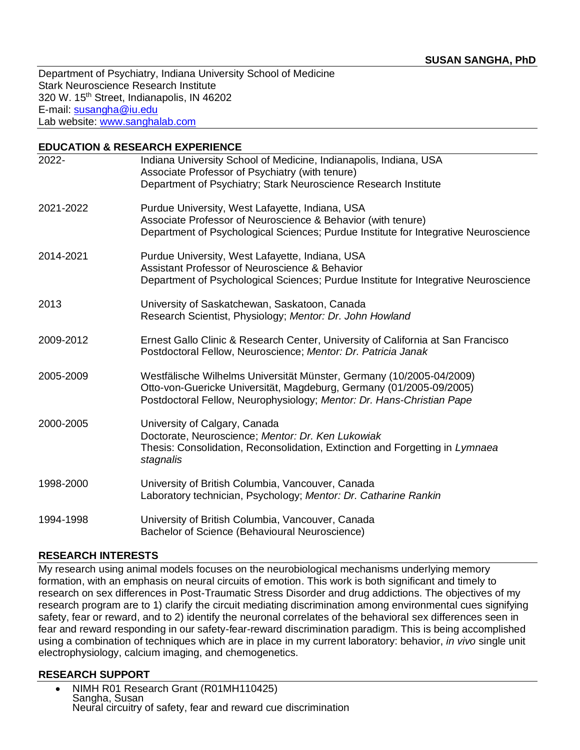Department of Psychiatry, Indiana University School of Medicine Stark Neuroscience Research Institute 320 W. 15<sup>th</sup> Street, Indianapolis, IN 46202 E-mail: [susangha@iu.edu](mailto:susangha@iu.edu) Lab website: [www.sanghalab.com](http://www.sanghalab.com/)

| <b>EDUCATION &amp; RESEARCH EXPERIENCE</b> |                                                                                                                                                                                                                      |  |
|--------------------------------------------|----------------------------------------------------------------------------------------------------------------------------------------------------------------------------------------------------------------------|--|
| 2022-                                      | Indiana University School of Medicine, Indianapolis, Indiana, USA<br>Associate Professor of Psychiatry (with tenure)                                                                                                 |  |
|                                            | Department of Psychiatry; Stark Neuroscience Research Institute                                                                                                                                                      |  |
| 2021-2022                                  | Purdue University, West Lafayette, Indiana, USA<br>Associate Professor of Neuroscience & Behavior (with tenure)<br>Department of Psychological Sciences; Purdue Institute for Integrative Neuroscience               |  |
| 2014-2021                                  | Purdue University, West Lafayette, Indiana, USA<br>Assistant Professor of Neuroscience & Behavior<br>Department of Psychological Sciences; Purdue Institute for Integrative Neuroscience                             |  |
| 2013                                       | University of Saskatchewan, Saskatoon, Canada<br>Research Scientist, Physiology; Mentor: Dr. John Howland                                                                                                            |  |
| 2009-2012                                  | Ernest Gallo Clinic & Research Center, University of California at San Francisco<br>Postdoctoral Fellow, Neuroscience; Mentor: Dr. Patricia Janak                                                                    |  |
| 2005-2009                                  | Westfälische Wilhelms Universität Münster, Germany (10/2005-04/2009)<br>Otto-von-Guericke Universität, Magdeburg, Germany (01/2005-09/2005)<br>Postdoctoral Fellow, Neurophysiology; Mentor: Dr. Hans-Christian Pape |  |
| 2000-2005                                  | University of Calgary, Canada<br>Doctorate, Neuroscience; Mentor: Dr. Ken Lukowiak<br>Thesis: Consolidation, Reconsolidation, Extinction and Forgetting in Lymnaea<br>stagnalis                                      |  |
| 1998-2000                                  | University of British Columbia, Vancouver, Canada<br>Laboratory technician, Psychology; Mentor: Dr. Catharine Rankin                                                                                                 |  |
| 1994-1998                                  | University of British Columbia, Vancouver, Canada<br>Bachelor of Science (Behavioural Neuroscience)                                                                                                                  |  |

## **RESEARCH INTERESTS**

My research using animal models focuses on the neurobiological mechanisms underlying memory formation, with an emphasis on neural circuits of emotion. This work is both significant and timely to research on sex differences in Post-Traumatic Stress Disorder and drug addictions. The objectives of my research program are to 1) clarify the circuit mediating discrimination among environmental cues signifying safety, fear or reward, and to 2) identify the neuronal correlates of the behavioral sex differences seen in fear and reward responding in our safety-fear-reward discrimination paradigm. This is being accomplished using a combination of techniques which are in place in my current laboratory: behavior, *in vivo* single unit electrophysiology, calcium imaging, and chemogenetics.

## **RESEARCH SUPPORT**

• NIMH R01 Research Grant (R01MH110425) Sangha, Susan Neural circuitry of safety, fear and reward cue discrimination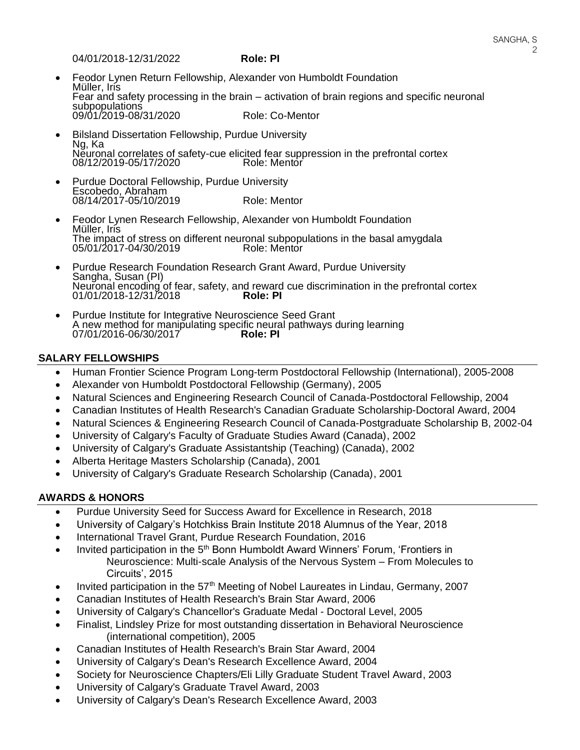04/01/2018-12/31/2022 **Role: PI**

- Feodor Lynen Return Fellowship, Alexander von Humboldt Foundation Müller, Iris Fear and safety processing in the brain – activation of brain regions and specific neuronal subpopulations 09/01/2019-08/31/2020 Role: Co-Mentor
- Bilsland Dissertation Fellowship, Purdue University Ng, Ka Neuronal correlates of safety-cue elicited fear suppression in the prefrontal cortex<br>08/12/2019-05/17/2020<br>Role: Mentor 08/12/2019-05/17/2020
- Purdue Doctoral Fellowship, Purdue University Escobedo, Abraham 08/14/2017-05/10/2019 Role: Mentor
- Feodor Lynen Research Fellowship, Alexander von Humboldt Foundation Müller, Iris The impact of stress on different neuronal subpopulations in the basal amygdala<br>05/01/2017-04/30/2019 Role: Mentor 05/01/2017-04/30/2019
- Purdue Research Foundation Research Grant Award, Purdue University Sangha, Susan (PI) Neuronal encoding of fear, safety, and reward cue discrimination in the prefrontal cortex 01/01/2018-12/31/2018 **Role: PI**
- Purdue Institute for Integrative Neuroscience Seed Grant A new method for manipulating specific neural pathways during learning 07/01/2016-06/30/2017 07/01/2016-06/30/2017 **Role: PI**

#### **SALARY FELLOWSHIPS**

- Human Frontier Science Program Long-term Postdoctoral Fellowship (International), 2005-2008
- Alexander von Humboldt Postdoctoral Fellowship (Germany), 2005
- Natural Sciences and Engineering Research Council of Canada-Postdoctoral Fellowship, 2004
- Canadian Institutes of Health Research's Canadian Graduate Scholarship-Doctoral Award, 2004
- Natural Sciences & Engineering Research Council of Canada-Postgraduate Scholarship B, 2002-04
- University of Calgary's Faculty of Graduate Studies Award (Canada), 2002
- University of Calgary's Graduate Assistantship (Teaching) (Canada), 2002
- Alberta Heritage Masters Scholarship (Canada), 2001
- University of Calgary's Graduate Research Scholarship (Canada), 2001

# **AWARDS & HONORS**

- Purdue University Seed for Success Award for Excellence in Research, 2018
- University of Calgary's Hotchkiss Brain Institute 2018 Alumnus of the Year, 2018
- International Travel Grant, Purdue Research Foundation, 2016
- Invited participation in the 5<sup>th</sup> Bonn Humboldt Award Winners' Forum, 'Frontiers in Neuroscience: Multi-scale Analysis of the Nervous System – From Molecules to Circuits', 2015
- Invited participation in the  $57<sup>th</sup>$  Meeting of Nobel Laureates in Lindau, Germany, 2007
- Canadian Institutes of Health Research's Brain Star Award, 2006
- University of Calgary's Chancellor's Graduate Medal Doctoral Level, 2005
- Finalist, Lindsley Prize for most outstanding dissertation in Behavioral Neuroscience (international competition), 2005
- Canadian Institutes of Health Research's Brain Star Award, 2004
- University of Calgary's Dean's Research Excellence Award, 2004
- Society for Neuroscience Chapters/Eli Lilly Graduate Student Travel Award, 2003
- University of Calgary's Graduate Travel Award, 2003
- University of Calgary's Dean's Research Excellence Award, 2003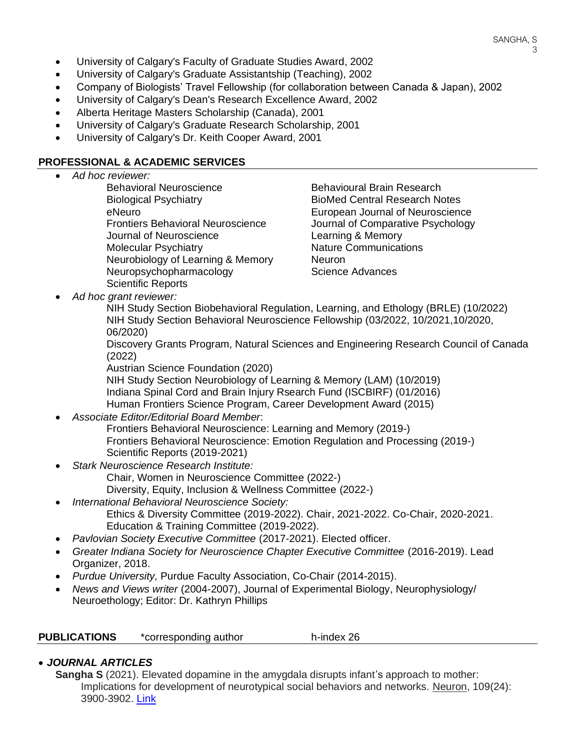- University of Calgary's Faculty of Graduate Studies Award, 2002
- University of Calgary's Graduate Assistantship (Teaching), 2002
- Company of Biologists' Travel Fellowship (for collaboration between Canada & Japan), 2002
- University of Calgary's Dean's Research Excellence Award, 2002
- Alberta Heritage Masters Scholarship (Canada), 2001
- University of Calgary's Graduate Research Scholarship, 2001
- University of Calgary's Dr. Keith Cooper Award, 2001

#### **PROFESSIONAL & ACADEMIC SERVICES**

• *Ad hoc reviewer:* Behavioral Neuroscience **Behavioural Brain Research** Journal of Neuroscience Learning & Memory Molecular Psychiatry Nature Communications Neurobiology of Learning & Memory Neuron Neuropsychopharmacology **Science Advances** Scientific Reports

Biological Psychiatry BioMed Central Research Notes eNeuro European Journal of Neuroscience Frontiers Behavioral Neuroscience Journal of Comparative Psychology

• *Ad hoc grant reviewer:*

NIH Study Section Biobehavioral Regulation, Learning, and Ethology (BRLE) (10/2022) NIH Study Section Behavioral Neuroscience Fellowship (03/2022, 10/2021,10/2020, 06/2020)

Discovery Grants Program, Natural Sciences and Engineering Research Council of Canada (2022)

Austrian Science Foundation (2020)

NIH Study Section Neurobiology of Learning & Memory (LAM) (10/2019) Indiana Spinal Cord and Brain Injury Rsearch Fund (ISCBIRF) (01/2016) Human Frontiers Science Program, Career Development Award (2015)

• *Associate Editor/Editorial Board Member*:

Frontiers Behavioral Neuroscience: Learning and Memory (2019-) Frontiers Behavioral Neuroscience: Emotion Regulation and Processing (2019-) Scientific Reports (2019-2021)

- *Stark Neuroscience Research Institute:* Chair, Women in Neuroscience Committee (2022-)
	- Diversity, Equity, Inclusion & Wellness Committee (2022-)
- *International Behavioral Neuroscience Society:*  Ethics & Diversity Committee (2019-2022). Chair, 2021-2022. Co-Chair, 2020-2021. Education & Training Committee (2019-2022).
- *Pavlovian Society Executive Committee* (2017-2021). Elected officer.
- Greater Indiana Society for Neuroscience Chapter Executive Committee (2016-2019). Lead Organizer, 2018.
- *Purdue University,* Purdue Faculty Association, Co-Chair (2014-2015).
- *News and Views writer* (2004-2007), Journal of Experimental Biology, Neurophysiology/ Neuroethology; Editor: Dr. Kathryn Phillips

| <b>PUBLICATIONS</b> | *corresponding author | h-index 26 |
|---------------------|-----------------------|------------|
|---------------------|-----------------------|------------|

## • *JOURNAL ARTICLES*

**Sangha S** (2021). Elevated dopamine in the amygdala disrupts infant's approach to mother: Implications for development of neurotypical social behaviors and networks. Neuron, 109(24): 3900-3902. [Link](https://www.sciencedirect.com/science/article/pii/S0896627321009673?dgcid=author)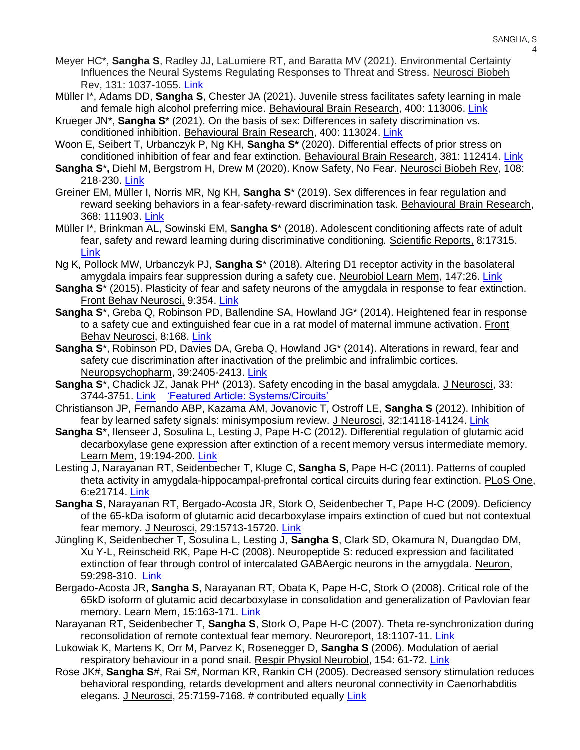- Meyer HC\*, **Sangha S**, Radley JJ, LaLumiere RT, and Baratta MV (2021). Environmental Certainty Influences the Neural Systems Regulating Responses to Threat and Stress. Neurosci Biobeh Rev, 131: 1037-1055. [Link](https://pubmed.ncbi.nlm.nih.gov/34673111/)
- Müller I\*, Adams DD, **Sangha S**, Chester JA (2021). Juvenile stress facilitates safety learning in male and female high alcohol preferring mice. Behavioural Brain Research, 400: 113006. [Link](https://pubmed.ncbi.nlm.nih.gov/33166568/)
- Krueger JN\*, **Sangha S**\* (2021). On the basis of sex: Differences in safety discrimination vs. conditioned inhibition. Behavioural Brain Research, 400: 113024[. Link](https://pubmed.ncbi.nlm.nih.gov/33290755/)
- Woon E, Seibert T, Urbanczyk P, Ng KH, **Sangha S\*** (2020). Differential effects of prior stress on conditioned inhibition of fear and fear extinction. Behavioural Brain Research, 381: 112414. [Link](https://pubmed.ncbi.nlm.nih.gov/31891742/)
- **Sangha S**\***,** Diehl M, Bergstrom H, Drew M (2020). Know Safety, No Fear. Neurosci Biobeh Rev, 108: 218-230. [Link](https://www.ncbi.nlm.nih.gov/pubmed/31738952)
- Greiner EM, Müller I, Norris MR, Ng KH, **Sangha S**\* (2019). Sex differences in fear regulation and reward seeking behaviors in a fear-safety-reward discrimination task. Behavioural Brain Research, 368: 111903. [Link](https://www.ncbi.nlm.nih.gov/pubmed/30981735/)
- Müller I\*, Brinkman AL, Sowinski EM, **Sangha S**\* (2018). Adolescent conditioning affects rate of adult fear, safety and reward learning during discriminative conditioning. Scientific Reports, 8:17315. [Link](https://www.nature.com/articles/s41598-018-35678-9)
- Ng K, Pollock MW, Urbanczyk PJ, **Sangha S**\* (2018). Altering D1 receptor activity in the basolateral amygdala impairs fear suppression during a safety cue. Neurobiol Learn Mem, 147:26. [Link](https://www.ncbi.nlm.nih.gov/pubmed/29175512)
- **Sangha S<sup>\*</sup>** (2015). Plasticity of fear and safety neurons of the amygdala in response to fear extinction. Front Behav Neurosci, 9:354. [Link](https://www.ncbi.nlm.nih.gov/pubmed/26733838)
- **Sangha S**\*, Greba Q, Robinson PD, Ballendine SA, Howland JG\* (2014). Heightened fear in response to a safety cue and extinguished fear cue in a rat model of maternal immune activation. Front Behav Neurosci, 8:168. [Link](https://www.ncbi.nlm.nih.gov/pubmed/24847231)
- **Sangha S**\*, Robinson PD, Davies DA, Greba Q, Howland JG\* (2014). Alterations in reward, fear and safety cue discrimination after inactivation of the prelimbic and infralimbic cortices. Neuropsychopharm, 39:2405-2413. [Link](https://www.ncbi.nlm.nih.gov/pubmed/24727732)
- **Sangha S**\*, Chadick JZ, Janak PH\* (2013). Safety encoding in the basal amygdala. J Neurosci, 33: 3744-3751. [Link](https://www.ncbi.nlm.nih.gov/pubmed/23447586) ['Featured Article: Systems/Circuits'](http://www.jneurosci.org/content/33/9/i)
- Christianson JP, Fernando ABP, Kazama AM, Jovanovic T, Ostroff LE, **Sangha S** (2012). Inhibition of fear by learned safety signals: minisymposium review. J Neurosci, 32:14118-14124. [Link](https://www.ncbi.nlm.nih.gov/pubmed/23055481)
- **Sangha S**\*, Ilenseer J, Sosulina L, Lesting J, Pape H-C (2012). Differential regulation of glutamic acid decarboxylase gene expression after extinction of a recent memory versus intermediate memory. Learn Mem, 19:194-200. [Link](https://www.ncbi.nlm.nih.gov/pubmed/22511241)
- Lesting J, Narayanan RT, Seidenbecher T, Kluge C, **Sangha S**, Pape H-C (2011). Patterns of coupled theta activity in amygdala-hippocampal-prefrontal cortical circuits during fear extinction. PLoS One, 6:e21714. [Link](https://www.ncbi.nlm.nih.gov/pubmed/21738775)
- **Sangha S**, Narayanan RT, Bergado-Acosta JR, Stork O, Seidenbecher T, Pape H-C (2009). Deficiency of the 65-kDa isoform of glutamic acid decarboxylase impairs extinction of cued but not contextual fear memory. J Neurosci, 29:15713-15720. [Link](https://www.ncbi.nlm.nih.gov/pubmed/20016086)
- Jüngling K, Seidenbecher T, Sosulina L, Lesting J, **Sangha S**, Clark SD, Okamura N, Duangdao DM, Xu Y-L, Reinscheid RK, Pape H-C (2008). Neuropeptide S: reduced expression and facilitated extinction of fear through control of intercalated GABAergic neurons in the amygdala. Neuron, 59:298-310. [Link](https://www.ncbi.nlm.nih.gov/pubmed/18667157)
- Bergado-Acosta JR, **Sangha S**, Narayanan RT, Obata K, Pape H-C, Stork O (2008). Critical role of the 65kD isoform of glutamic acid decarboxylase in consolidation and generalization of Pavlovian fear memory. Learn Mem, 15:163-171. [Link](https://www.ncbi.nlm.nih.gov/pubmed/18323571)
- Narayanan RT, Seidenbecher T, **Sangha S**, Stork O, Pape H-C (2007). Theta re-synchronization during reconsolidation of remote contextual fear memory. Neuroreport, 18:1107-11. [Link](https://www.ncbi.nlm.nih.gov/pubmed/17589308)
- Lukowiak K, Martens K, Orr M, Parvez K, Rosenegger D, **Sangha S** (2006). Modulation of aerial respiratory behaviour in a pond snail. Respir Physiol Neurobiol, 154: 61-72. [Link](https://www.ncbi.nlm.nih.gov/pubmed/16564752)
- Rose JK#, **Sangha S**#, Rai S#, Norman KR, Rankin CH (2005). Decreased sensory stimulation reduces behavioral responding, retards development and alters neuronal connectivity in Caenorhabditis elegans. J Neurosci, 25:7159-7168. # contributed equally Link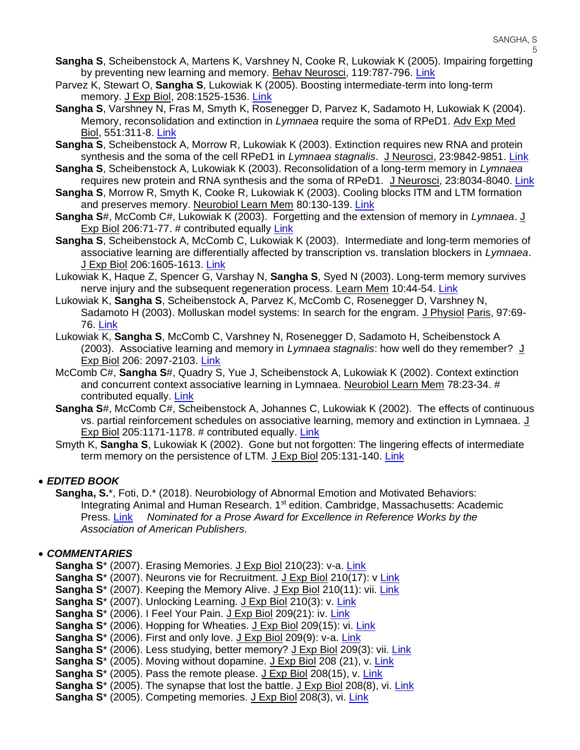- **Sangha S**, Scheibenstock A, Martens K, Varshney N, Cooke R, Lukowiak K (2005). Impairing forgetting by preventing new learning and memory. Behav Neurosci, 119:787-796. [Link](https://www.ncbi.nlm.nih.gov/pubmed/15998200)
- Parvez K, Stewart O, **Sangha S**, Lukowiak K (2005). Boosting intermediate-term into long-term memory. J Exp Biol, 208:1525-1536. [Link](https://www.ncbi.nlm.nih.gov/pubmed/15802676)
- **Sangha S**, Varshney N, Fras M, Smyth K, Rosenegger D, Parvez K, Sadamoto H, Lukowiak K (2004). Memory, reconsolidation and extinction in *Lymnaea* require the soma of RPeD1. Adv Exp Med Biol, 551:311-8. [Link](https://www.ncbi.nlm.nih.gov/pubmed/15602981)
- **Sangha S**, Scheibenstock A, Morrow R, Lukowiak K (2003). Extinction requires new RNA and protein synthesis and the soma of the cell RPeD1 in *Lymnaea stagnalis*. J Neurosci, 23:9842-9851. [Link](https://www.ncbi.nlm.nih.gov/pubmed/14586013)
- **Sangha S**, Scheibenstock A, Lukowiak K (2003). Reconsolidation of a long-term memory in *Lymnaea* requires new protein and RNA synthesis and the soma of RPeD1. J Neurosci, 23:8034-8040. [Link](https://www.ncbi.nlm.nih.gov/pubmed/12954865)
- **Sangha S**, Morrow R, Smyth K, Cooke R, Lukowiak K (2003). Cooling blocks ITM and LTM formation and preserves memory. Neurobiol Learn Mem 80:130-139. [Link](https://www.ncbi.nlm.nih.gov/pubmed/12932428)
- **Sangha S**#, McComb C#, Lukowiak K (2003). Forgetting and the extension of memory in *Lymnaea*. J Exp Biol 206:71-77. # contributed equally [Link](https://www.ncbi.nlm.nih.gov/pubmed/12456698)
- **Sangha S**, Scheibenstock A, McComb C, Lukowiak K (2003). Intermediate and long-term memories of associative learning are differentially affected by transcription vs. translation blockers in *Lymnaea*. J Exp Biol 206:1605-1613. [Link](https://www.ncbi.nlm.nih.gov/pubmed/12682092)
- Lukowiak K, Haque Z, Spencer G, Varshay N, **Sangha S**, Syed N (2003). Long-term memory survives nerve injury and the subsequent regeneration process. Learn Mem 10:44-54. [Link](https://www.ncbi.nlm.nih.gov/pubmed/12551963)
- Lukowiak K, **Sangha S**, Scheibenstock A, Parvez K, McComb C, Rosenegger D, Varshney N, Sadamoto H (2003). Molluskan model systems: In search for the engram. J Physiol Paris, 97:69- 76. [Link](https://www.ncbi.nlm.nih.gov/pubmed/14706692)
- Lukowiak K, **Sangha S**, McComb C, Varshney N, Rosenegger D, Sadamoto H, Scheibenstock A (2003). Associative learning and memory in *Lymnaea stagnalis*: how well do they remember? J Exp Biol 206: 2097-2103. [Link](https://www.ncbi.nlm.nih.gov/pubmed/12771158)
- McComb C#, **Sangha S**#, Quadry S, Yue J, Scheibenstock A, Lukowiak K (2002). Context extinction and concurrent context associative learning in Lymnaea. Neurobiol Learn Mem 78:23-34. # contributed equally. [Link](https://www.ncbi.nlm.nih.gov/pubmed/12071665)
- **Sangha S**#, McComb C#, Scheibenstock A, Johannes C, Lukowiak K (2002). The effects of continuous vs. partial reinforcement schedules on associative learning, memory and extinction in Lymnaea. J Exp Biol 205:1171-1178. # contributed equally. [Link](https://www.ncbi.nlm.nih.gov/pubmed/11919276)
- Smyth K, **Sangha S**, Lukowiak K (2002). Gone but not forgotten: The lingering effects of intermediate term memory on the persistence of LTM. J Exp Biol 205:131-140. [Link](https://www.ncbi.nlm.nih.gov/pubmed/11818419)

## • *EDITED BOOK*

**Sangha, S.**\*, Foti, D.\* (2018). Neurobiology of Abnormal Emotion and Motivated Behaviors: Integrating Animal and Human Research. 1<sup>st</sup> edition. Cambridge, Massachusetts: Academic Press. [Link](https://www.elsevier.com/books/neurobiology-of-abnormal-emotion-and-motivated-behaviors/sangha/978-0-12-813693-5?start_rank=1&sortby=sortByDateDesc&imprintname=Academic%20Press) *Nominated for a Prose Award for Excellence in Reference Works by the Association of American Publishers.* 

## • *COMMENTARIES*

- **Sangha S**\* (2007). Erasing Memories. J Exp Biol 210(23): v-a. [Link](http://jeb.biologists.org/content/210/23/v.2)
- Sangha S<sup>\*</sup> (2007). Neurons vie for Recruitment. J Exp Biol 210(17): v [Link](http://jeb.biologists.org/content/210/17/v.2)
- Sangha S<sup>\*</sup> (2007). Keeping the Memory Alive. J Exp Biol 210(11): vii. [Link](http://jeb.biologists.org/content/210/11/vii)
- **Sangha S**\* (2007). Unlocking Learning. J Exp Biol 210(3): v. [Link](http://jeb.biologists.org/content/210/3/v)
- Sangha S<sup>\*</sup> (2006). I Feel Your Pain. J Exp Biol 209(21): iv. [Link](http://jeb.biologists.org/content/209/21/iv)
- **Sangha S**\* (2006). Hopping for Wheaties. J Exp Biol 209(15): vi. [Link](http://jeb.biologists.org/content/209/15/vi)
- **Sangha S**\* (2006). First and only love. J Exp Biol 209(9): v-a. [Link](http://jeb.biologists.org/content/209/9/v.2)
- **Sangha S**\* (2006). Less studying, better memory? J Exp Biol 209(3): vii. [Link](http://jeb.biologists.org/content/209/3/vii)
- **Sangha S**\* (2005). Moving without dopamine. J Exp Biol 208 (21), v. [Link](http://jeb.biologists.org/content/208/21/v.2)
- **Sangha S**\* (2005). Pass the remote please. J Exp Biol 208(15), v. [Link](http://jeb.biologists.org/content/208/15/v.1)
- **Sangha S**\* (2005). The synapse that lost the battle. J Exp Biol 208(8), vi. [Link](http://jeb.biologists.org/content/208/8/vi)
- **Sangha S**\* (2005). Competing memories. J Exp Biol 208(3), vi. [Link](http://jeb.biologists.org/content/208/3/vi)